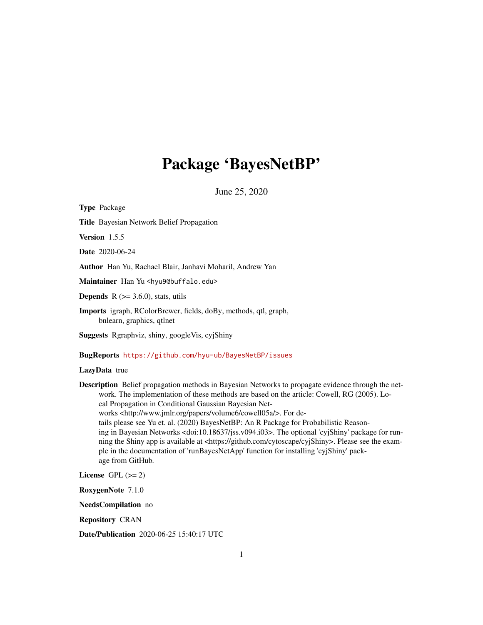# Package 'BayesNetBP'

June 25, 2020

Type Package Title Bayesian Network Belief Propagation Version 1.5.5 Date 2020-06-24 Author Han Yu, Rachael Blair, Janhavi Moharil, Andrew Yan Maintainer Han Yu <hyu9@buffalo.edu> **Depends** R  $(>= 3.6.0)$ , stats, utils Imports igraph, RColorBrewer, fields, doBy, methods, qtl, graph, bnlearn, graphics, qtlnet Suggests Rgraphviz, shiny, googleVis, cyjShiny

BugReports <https://github.com/hyu-ub/BayesNetBP/issues>

LazyData true

Description Belief propagation methods in Bayesian Networks to propagate evidence through the network. The implementation of these methods are based on the article: Cowell, RG (2005). Local Propagation in Conditional Gaussian Bayesian Networks <http://www.jmlr.org/papers/volume6/cowell05a/>. For details please see Yu et. al. (2020) BayesNetBP: An R Package for Probabilistic Reasoning in Bayesian Networks <doi:10.18637/jss.v094.i03>. The optional 'cyjShiny' package for running the Shiny app is available at <https://github.com/cytoscape/cyjShiny>. Please see the example in the documentation of 'runBayesNetApp' function for installing 'cyjShiny' package from GitHub.

License GPL  $(>= 2)$ 

RoxygenNote 7.1.0

NeedsCompilation no

Repository CRAN

Date/Publication 2020-06-25 15:40:17 UTC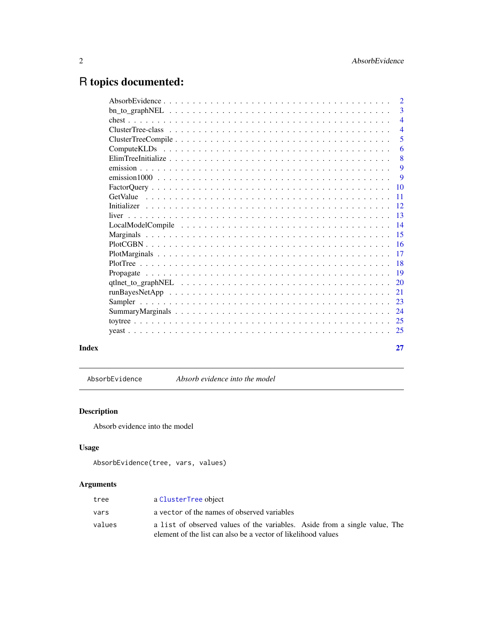# <span id="page-1-0"></span>R topics documented:

|       | $\overline{2}$  |
|-------|-----------------|
|       | $\overline{3}$  |
|       | $\overline{4}$  |
|       | $\overline{4}$  |
|       | 5               |
|       | 6               |
|       | 8               |
|       | 9               |
|       | $\overline{9}$  |
|       |                 |
|       | $\overline{11}$ |
|       |                 |
|       |                 |
|       |                 |
|       |                 |
|       |                 |
|       |                 |
|       |                 |
|       |                 |
|       |                 |
|       |                 |
|       |                 |
|       |                 |
|       |                 |
|       |                 |
|       |                 |
| Index | 27              |
|       |                 |

AbsorbEvidence *Absorb evidence into the model*

# Description

Absorb evidence into the model

# Usage

```
AbsorbEvidence(tree, vars, values)
```
# Arguments

| tree   | a ClusterTree object                                                       |
|--------|----------------------------------------------------------------------------|
| vars   | a vector of the names of observed variables                                |
| values | a list of observed values of the variables. Aside from a single value, The |
|        | element of the list can also be a vector of likelihood values              |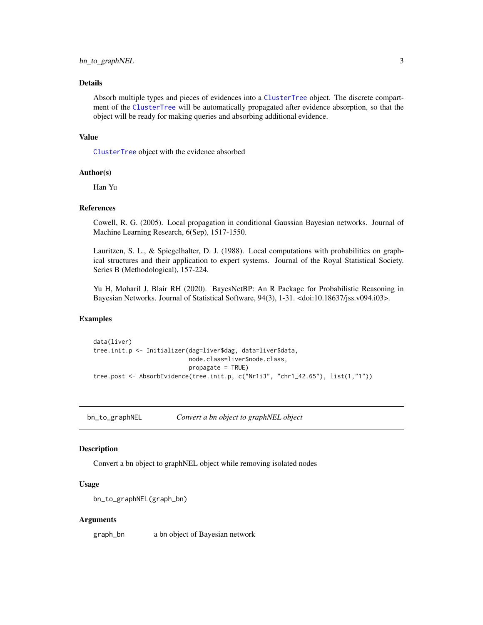# <span id="page-2-0"></span>bn\_to\_graphNEL 3

### Details

Absorb multiple types and pieces of evidences into a [ClusterTree](#page-3-1) object. The discrete compartment of the [ClusterTree](#page-3-1) will be automatically propagated after evidence absorption, so that the object will be ready for making queries and absorbing additional evidence.

#### Value

[ClusterTree](#page-3-1) object with the evidence absorbed

#### Author(s)

Han Yu

#### References

Cowell, R. G. (2005). Local propagation in conditional Gaussian Bayesian networks. Journal of Machine Learning Research, 6(Sep), 1517-1550.

Lauritzen, S. L., & Spiegelhalter, D. J. (1988). Local computations with probabilities on graphical structures and their application to expert systems. Journal of the Royal Statistical Society. Series B (Methodological), 157-224.

Yu H, Moharil J, Blair RH (2020). BayesNetBP: An R Package for Probabilistic Reasoning in Bayesian Networks. Journal of Statistical Software, 94(3), 1-31. <doi:10.18637/jss.v094.i03>.

#### Examples

```
data(liver)
tree.init.p <- Initializer(dag=liver$dag, data=liver$data,
                           node.class=liver$node.class,
                           propagate = TRUE)
tree.post <- AbsorbEvidence(tree.init.p, c("Nr1i3", "chr1_42.65"), list(1,"1"))
```
bn\_to\_graphNEL *Convert a bn object to graphNEL object*

#### **Description**

Convert a bn object to graphNEL object while removing isolated nodes

# Usage

```
bn_to_graphNEL(graph_bn)
```
#### Arguments

graph\_bn a bn object of Bayesian network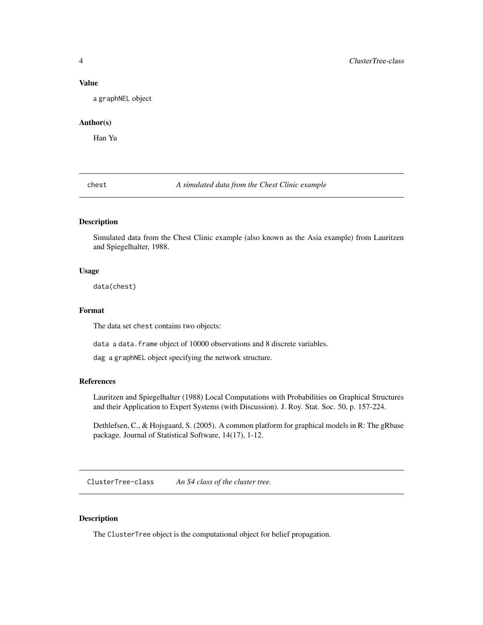#### <span id="page-3-0"></span>Value

a graphNEL object

# Author(s)

Han Yu

chest *A simulated data from the Chest Clinic example*

# Description

Simulated data from the Chest Clinic example (also known as the Asia example) from Lauritzen and Spiegelhalter, 1988.

#### Usage

data(chest)

#### Format

The data set chest contains two objects:

data a data. frame object of 10000 observations and 8 discrete variables.

dag a graphNEL object specifying the network structure.

#### References

Lauritzen and Spiegelhalter (1988) Local Computations with Probabilities on Graphical Structures and their Application to Expert Systems (with Discussion). J. Roy. Stat. Soc. 50, p. 157-224.

Dethlefsen, C., & Hojsgaard, S. (2005). A common platform for graphical models in R: The gRbase package. Journal of Statistical Software, 14(17), 1-12.

<span id="page-3-1"></span>ClusterTree-class *An S4 class of the cluster tree.*

#### Description

The ClusterTree object is the computational object for belief propagation.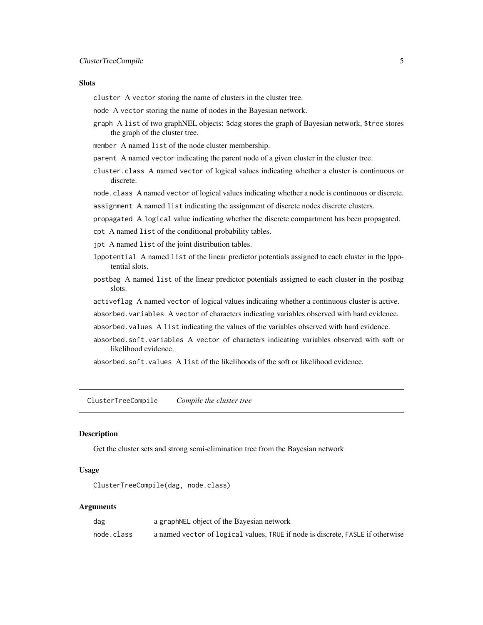#### <span id="page-4-0"></span>**Slots**

cluster A vector storing the name of clusters in the cluster tree.

- node A vector storing the name of nodes in the Bayesian network.
- graph A list of two graphNEL objects: \$dag stores the graph of Bayesian network, \$tree stores the graph of the cluster tree.
- member A named list of the node cluster membership.
- parent A named vector indicating the parent node of a given cluster in the cluster tree.
- cluster.class A named vector of logical values indicating whether a cluster is continuous or discrete.

node.class A named vector of logical values indicating whether a node is continuous or discrete.

- assignment A named list indicating the assignment of discrete nodes discrete clusters.
- propagated A logical value indicating whether the discrete compartment has been propagated.
- cpt A named list of the conditional probability tables.
- jpt A named list of the joint distribution tables.
- lppotential A named list of the linear predictor potentials assigned to each cluster in the lppotential slots.
- postbag A named list of the linear predictor potentials assigned to each cluster in the postbag slots.
- activeflag A named vector of logical values indicating whether a continuous cluster is active.
- absorbed.variables A vector of characters indicating variables observed with hard evidence.
- absorbed.values A list indicating the values of the variables observed with hard evidence.
- absorbed.soft.variables A vector of characters indicating variables observed with soft or likelihood evidence.

absorbed.soft.values A list of the likelihoods of the soft or likelihood evidence.

<span id="page-4-1"></span>ClusterTreeCompile *Compile the cluster tree*

#### Description

Get the cluster sets and strong semi-elimination tree from the Bayesian network

#### Usage

```
ClusterTreeCompile(dag, node.class)
```
# Arguments

| dag        | a graphNEL object of the Bayesian network                                      |
|------------|--------------------------------------------------------------------------------|
| node.class | a named vector of logical values, TRUE if node is discrete, FASLE if otherwise |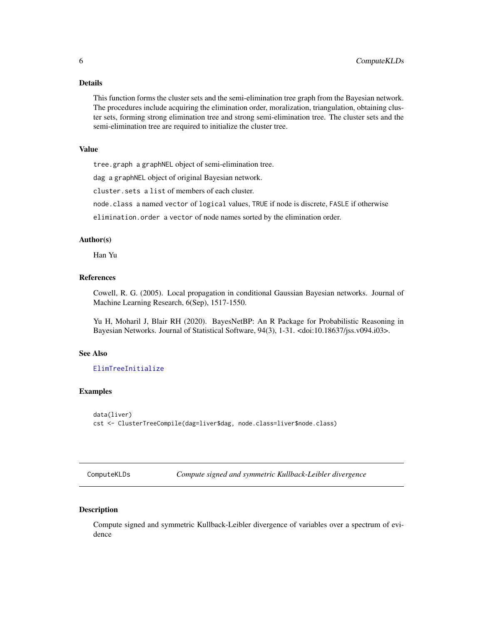#### <span id="page-5-0"></span>Details

This function forms the cluster sets and the semi-elimination tree graph from the Bayesian network. The procedures include acquiring the elimination order, moralization, triangulation, obtaining cluster sets, forming strong elimination tree and strong semi-elimination tree. The cluster sets and the semi-elimination tree are required to initialize the cluster tree.

#### Value

tree.graph a graphNEL object of semi-elimination tree.

dag a graphNEL object of original Bayesian network.

cluster.sets a list of members of each cluster.

node.class a named vector of logical values, TRUE if node is discrete, FASLE if otherwise

elimination.order a vector of node names sorted by the elimination order.

#### Author(s)

Han Yu

# References

Cowell, R. G. (2005). Local propagation in conditional Gaussian Bayesian networks. Journal of Machine Learning Research, 6(Sep), 1517-1550.

Yu H, Moharil J, Blair RH (2020). BayesNetBP: An R Package for Probabilistic Reasoning in Bayesian Networks. Journal of Statistical Software, 94(3), 1-31. <doi:10.18637/jss.v094.i03>.

#### See Also

#### [ElimTreeInitialize](#page-7-1)

#### Examples

```
data(liver)
cst <- ClusterTreeCompile(dag=liver$dag, node.class=liver$node.class)
```
ComputeKLDs *Compute signed and symmetric Kullback-Leibler divergence*

#### Description

Compute signed and symmetric Kullback-Leibler divergence of variables over a spectrum of evidence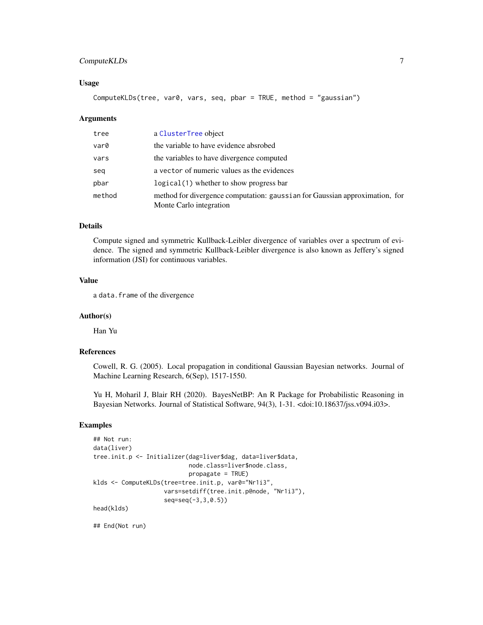# <span id="page-6-0"></span>ComputeKLDs 7

#### Usage

ComputeKLDs(tree, var0, vars, seq, pbar = TRUE, method = "gaussian")

#### Arguments

| tree   | a ClusterTree object                                                                                   |
|--------|--------------------------------------------------------------------------------------------------------|
| var0   | the variable to have evidence absrobed                                                                 |
| vars   | the variables to have divergence computed                                                              |
| seg    | a vector of numeric values as the evidences                                                            |
| pbar   | $logical(1)$ whether to show progress bar                                                              |
| method | method for divergence computation: gaussian for Gaussian approximation, for<br>Monte Carlo integration |

# Details

Compute signed and symmetric Kullback-Leibler divergence of variables over a spectrum of evidence. The signed and symmetric Kullback-Leibler divergence is also known as Jeffery's signed information (JSI) for continuous variables.

#### Value

a data.frame of the divergence

#### Author(s)

Han Yu

# References

Cowell, R. G. (2005). Local propagation in conditional Gaussian Bayesian networks. Journal of Machine Learning Research, 6(Sep), 1517-1550.

Yu H, Moharil J, Blair RH (2020). BayesNetBP: An R Package for Probabilistic Reasoning in Bayesian Networks. Journal of Statistical Software, 94(3), 1-31. <doi:10.18637/jss.v094.i03>.

### Examples

```
## Not run:
data(liver)
tree.init.p <- Initializer(dag=liver$dag, data=liver$data,
                           node.class=liver$node.class,
                           propagate = TRUE)
klds <- ComputeKLDs(tree=tree.init.p, var0="Nr1i3",
                    vars=setdiff(tree.init.p@node, "Nr1i3"),
                    seq=seq(-3,3,0.5))
head(klds)
```
## End(Not run)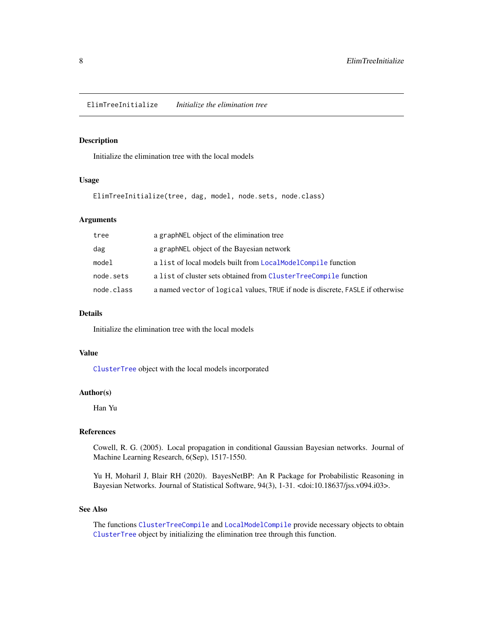<span id="page-7-1"></span><span id="page-7-0"></span>ElimTreeInitialize *Initialize the elimination tree*

# Description

Initialize the elimination tree with the local models

### Usage

ElimTreeInitialize(tree, dag, model, node.sets, node.class)

#### Arguments

| tree       | a graphNEL object of the elimination tree                                      |
|------------|--------------------------------------------------------------------------------|
| dag        | a graph NEL object of the Bayesian network                                     |
| model      | a list of local models built from LocalModelCompile function                   |
| node.sets  | a list of cluster sets obtained from ClusterTreeCompile function               |
| node.class | a named vector of logical values, TRUE if node is discrete, FASLE if otherwise |

#### Details

Initialize the elimination tree with the local models

#### Value

[ClusterTree](#page-3-1) object with the local models incorporated

#### Author(s)

Han Yu

#### References

Cowell, R. G. (2005). Local propagation in conditional Gaussian Bayesian networks. Journal of Machine Learning Research, 6(Sep), 1517-1550.

Yu H, Moharil J, Blair RH (2020). BayesNetBP: An R Package for Probabilistic Reasoning in Bayesian Networks. Journal of Statistical Software, 94(3), 1-31. <doi:10.18637/jss.v094.i03>.

#### See Also

The functions [ClusterTreeCompile](#page-4-1) and [LocalModelCompile](#page-13-1) provide necessary objects to obtain [ClusterTree](#page-3-1) object by initializing the elimination tree through this function.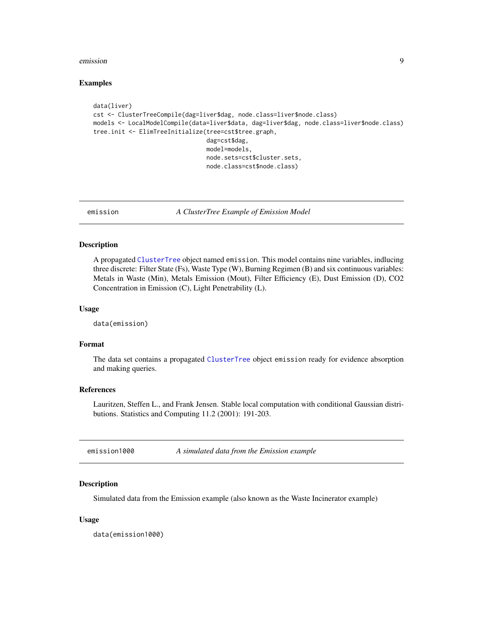#### <span id="page-8-0"></span>emission 9

#### Examples

```
data(liver)
cst <- ClusterTreeCompile(dag=liver$dag, node.class=liver$node.class)
models <- LocalModelCompile(data=liver$data, dag=liver$dag, node.class=liver$node.class)
tree.init <- ElimTreeInitialize(tree=cst$tree.graph,
                                dag=cst$dag,
                                model=models,
                                node.sets=cst$cluster.sets,
                                node.class=cst$node.class)
```
emission *A ClusterTree Example of Emission Model*

#### Description

A propagated [ClusterTree](#page-3-1) object named emission. This model contains nine variables, indlucing three discrete: Filter State (Fs), Waste Type (W), Burning Regimen (B) and six continuous variables: Metals in Waste (Min), Metals Emission (Mout), Filter Efficiency (E), Dust Emission (D), CO2 Concentration in Emission (C), Light Penetrability (L).

#### Usage

data(emission)

#### Format

The data set contains a propagated [ClusterTree](#page-3-1) object emission ready for evidence absorption and making queries.

#### References

Lauritzen, Steffen L., and Frank Jensen. Stable local computation with conditional Gaussian distributions. Statistics and Computing 11.2 (2001): 191-203.

emission1000 *A simulated data from the Emission example*

#### Description

Simulated data from the Emission example (also known as the Waste Incinerator example)

#### Usage

data(emission1000)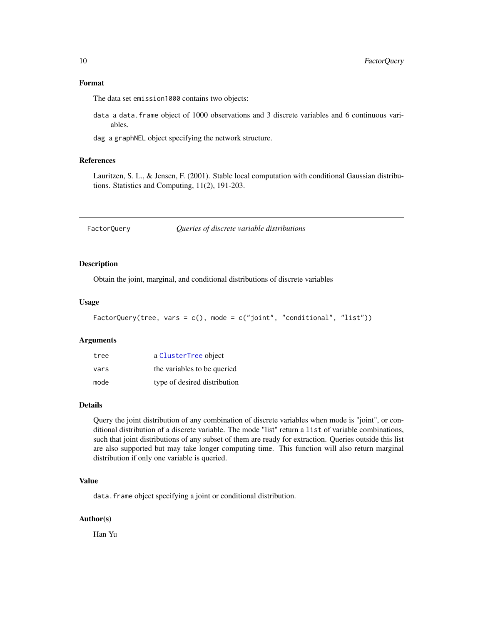<span id="page-9-0"></span>The data set emission1000 contains two objects:

data a data.frame object of 1000 observations and 3 discrete variables and 6 continuous variables.

dag a graphNEL object specifying the network structure.

# References

Lauritzen, S. L., & Jensen, F. (2001). Stable local computation with conditional Gaussian distributions. Statistics and Computing, 11(2), 191-203.

#### Description

Obtain the joint, marginal, and conditional distributions of discrete variables

#### Usage

```
FactorQuery(tree, vars = c(), mode = c("joint", "conditional", "list"))
```
#### Arguments

| tree | a ClusterTree object         |
|------|------------------------------|
| vars | the variables to be queried  |
| mode | type of desired distribution |

#### Details

Query the joint distribution of any combination of discrete variables when mode is "joint", or conditional distribution of a discrete variable. The mode "list" return a list of variable combinations, such that joint distributions of any subset of them are ready for extraction. Queries outside this list are also supported but may take longer computing time. This function will also return marginal distribution if only one variable is queried.

#### Value

data.frame object specifying a joint or conditional distribution.

#### Author(s)

Han Yu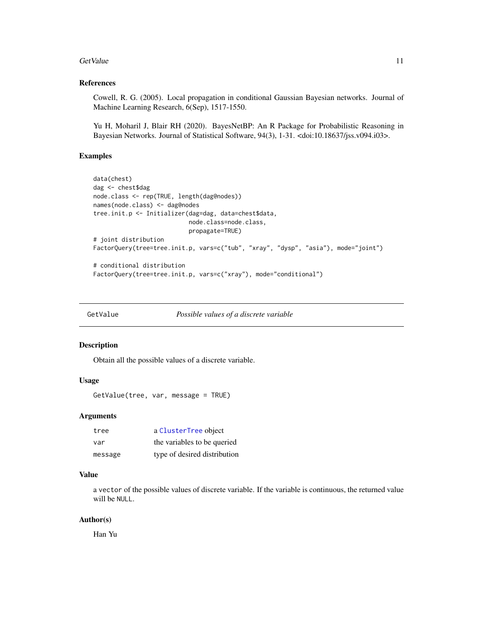#### <span id="page-10-0"></span>GetValue 11

# References

Cowell, R. G. (2005). Local propagation in conditional Gaussian Bayesian networks. Journal of Machine Learning Research, 6(Sep), 1517-1550.

Yu H, Moharil J, Blair RH (2020). BayesNetBP: An R Package for Probabilistic Reasoning in Bayesian Networks. Journal of Statistical Software, 94(3), 1-31. <doi:10.18637/jss.v094.i03>.

#### Examples

```
data(chest)
dag <- chest$dag
node.class <- rep(TRUE, length(dag@nodes))
names(node.class) <- dag@nodes
tree.init.p <- Initializer(dag=dag, data=chest$data,
                           node.class=node.class,
                           propagate=TRUE)
# joint distribution
FactorQuery(tree=tree.init.p, vars=c("tub", "xray", "dysp", "asia"), mode="joint")
# conditional distribution
FactorQuery(tree=tree.init.p, vars=c("xray"), mode="conditional")
```
GetValue *Possible values of a discrete variable*

#### Description

Obtain all the possible values of a discrete variable.

#### Usage

GetValue(tree, var, message = TRUE)

#### Arguments

| tree    | a ClusterTree object         |
|---------|------------------------------|
| var     | the variables to be queried  |
| message | type of desired distribution |

#### Value

a vector of the possible values of discrete variable. If the variable is continuous, the returned value will be NULL.

#### Author(s)

Han Yu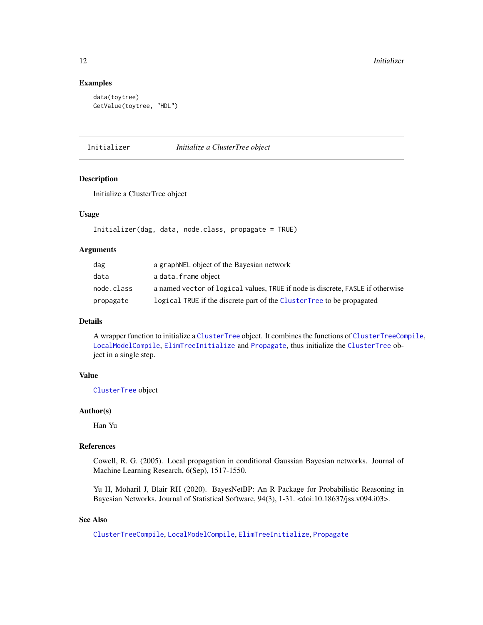# Examples

```
data(toytree)
GetValue(toytree, "HDL")
```
Initializer *Initialize a ClusterTree object*

#### Description

Initialize a ClusterTree object

#### Usage

```
Initializer(dag, data, node.class, propagate = TRUE)
```
#### Arguments

| dag        | a graph NEL object of the Bayesian network                                     |
|------------|--------------------------------------------------------------------------------|
| data       | a data.frame object                                                            |
| node.class | a named vector of logical values, TRUE if node is discrete, FASLE if otherwise |
| propagate  | logical TRUE if the discrete part of the ClusterTree to be propagated          |

# Details

A wrapper function to initialize a [ClusterTree](#page-3-1) object. It combines the functions of [ClusterTreeCompile](#page-4-1), [LocalModelCompile](#page-13-1), [ElimTreeInitialize](#page-7-1) and [Propagate](#page-18-1), thus initialize the [ClusterTree](#page-3-1) object in a single step.

### Value

[ClusterTree](#page-3-1) object

#### Author(s)

Han Yu

# References

Cowell, R. G. (2005). Local propagation in conditional Gaussian Bayesian networks. Journal of Machine Learning Research, 6(Sep), 1517-1550.

Yu H, Moharil J, Blair RH (2020). BayesNetBP: An R Package for Probabilistic Reasoning in Bayesian Networks. Journal of Statistical Software, 94(3), 1-31. <doi:10.18637/jss.v094.i03>.

# See Also

[ClusterTreeCompile](#page-4-1), [LocalModelCompile](#page-13-1), [ElimTreeInitialize](#page-7-1), [Propagate](#page-18-1)

<span id="page-11-0"></span>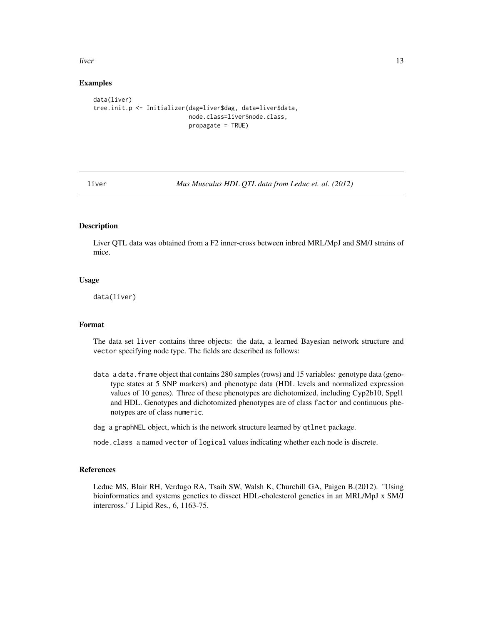<span id="page-12-0"></span>liver the contract of the contract of the contract of the contract of the contract of the contract of the contract of the contract of the contract of the contract of the contract of the contract of the contract of the cont

#### Examples

```
data(liver)
tree.init.p <- Initializer(dag=liver$dag, data=liver$data,
                           node.class=liver$node.class,
                           propagate = TRUE)
```
<span id="page-12-1"></span>

liver *Mus Musculus HDL QTL data from Leduc et. al. (2012)*

# Description

Liver QTL data was obtained from a F2 inner-cross between inbred MRL/MpJ and SM/J strains of mice.

#### Usage

data(liver)

#### Format

The data set liver contains three objects: the data, a learned Bayesian network structure and vector specifying node type. The fields are described as follows:

- data a data. frame object that contains 280 samples (rows) and 15 variables: genotype data (genotype states at 5 SNP markers) and phenotype data (HDL levels and normalized expression values of 10 genes). Three of these phenotypes are dichotomized, including Cyp2b10, Spgl1 and HDL. Genotypes and dichotomized phenotypes are of class factor and continuous phenotypes are of class numeric.
- dag a graphNEL object, which is the network structure learned by qtlnet package.

node.class a named vector of logical values indicating whether each node is discrete.

#### References

Leduc MS, Blair RH, Verdugo RA, Tsaih SW, Walsh K, Churchill GA, Paigen B.(2012). "Using bioinformatics and systems genetics to dissect HDL-cholesterol genetics in an MRL/MpJ x SM/J intercross." J Lipid Res., 6, 1163-75.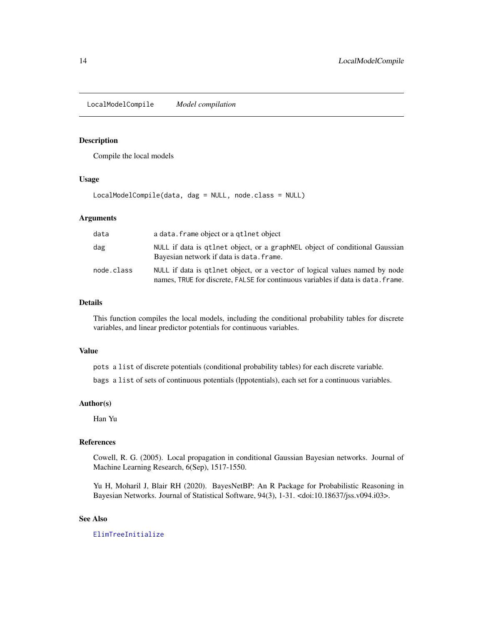<span id="page-13-1"></span><span id="page-13-0"></span>LocalModelCompile *Model compilation*

### Description

Compile the local models

### Usage

LocalModelCompile(data, dag = NULL, node.class = NULL)

#### Arguments

| data       | a data. frame object or a qtlnet object                                                                                                                        |
|------------|----------------------------------------------------------------------------------------------------------------------------------------------------------------|
| dag        | NULL if data is qtlnet object, or a graph NEL object of conditional Gaussian<br>Bayesian network if data is data. frame.                                       |
| node.class | NULL if data is qtlnet object, or a vector of logical values named by node<br>names, TRUE for discrete, FALSE for continuous variables if data is data. frame. |

# Details

This function compiles the local models, including the conditional probability tables for discrete variables, and linear predictor potentials for continuous variables.

#### Value

pots a list of discrete potentials (conditional probability tables) for each discrete variable.

bags a list of sets of continuous potentials (lppotentials), each set for a continuous variables.

# Author(s)

Han Yu

# References

Cowell, R. G. (2005). Local propagation in conditional Gaussian Bayesian networks. Journal of Machine Learning Research, 6(Sep), 1517-1550.

Yu H, Moharil J, Blair RH (2020). BayesNetBP: An R Package for Probabilistic Reasoning in Bayesian Networks. Journal of Statistical Software, 94(3), 1-31. <doi:10.18637/jss.v094.i03>.

# See Also

[ElimTreeInitialize](#page-7-1)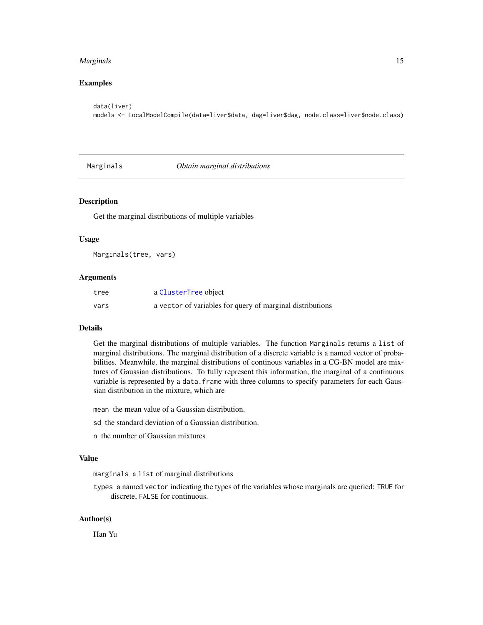#### <span id="page-14-0"></span>Marginals **15**

# Examples

```
data(liver)
models <- LocalModelCompile(data=liver$data, dag=liver$dag, node.class=liver$node.class)
```
<span id="page-14-1"></span>

Marginals *Obtain marginal distributions*

#### Description

Get the marginal distributions of multiple variables

#### Usage

Marginals(tree, vars)

#### Arguments

| tree | a ClusterTree object                                      |
|------|-----------------------------------------------------------|
| vars | a vector of variables for query of marginal distributions |

#### Details

Get the marginal distributions of multiple variables. The function Marginals returns a list of marginal distributions. The marginal distribution of a discrete variable is a named vector of probabilities. Meanwhile, the marginal distributions of continous variables in a CG-BN model are mixtures of Gaussian distributions. To fully represent this information, the marginal of a continuous variable is represented by a data. frame with three columns to specify parameters for each Gaussian distribution in the mixture, which are

mean the mean value of a Gaussian distribution.

- sd the standard deviation of a Gaussian distribution.
- n the number of Gaussian mixtures

#### Value

marginals a list of marginal distributions

types a named vector indicating the types of the variables whose marginals are queried: TRUE for discrete, FALSE for continuous.

#### Author(s)

Han Yu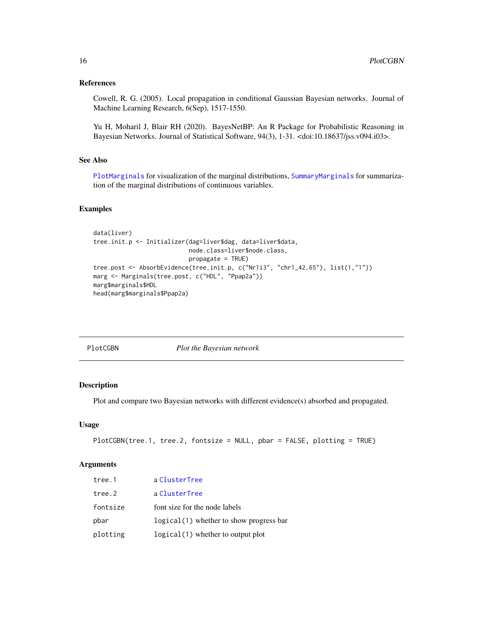# <span id="page-15-0"></span>References

Cowell, R. G. (2005). Local propagation in conditional Gaussian Bayesian networks. Journal of Machine Learning Research, 6(Sep), 1517-1550.

Yu H, Moharil J, Blair RH (2020). BayesNetBP: An R Package for Probabilistic Reasoning in Bayesian Networks. Journal of Statistical Software, 94(3), 1-31. <doi:10.18637/jss.v094.i03>.

# See Also

[PlotMarginals](#page-16-1) for visualization of the marginal distributions, [SummaryMarginals](#page-23-1) for summarization of the marginal distributions of continuous variables.

### Examples

```
data(liver)
tree.init.p <- Initializer(dag=liver$dag, data=liver$data,
                           node.class=liver$node.class,
                           propagate = TRUE)
tree.post <- AbsorbEvidence(tree.init.p, c("Nr1i3", "chr1_42.65"), list(1,"1"))
marg <- Marginals(tree.post, c("HDL", "Ppap2a"))
marg$marginals$HDL
head(marg$marginals$Ppap2a)
```
PlotCGBN *Plot the Bayesian network*

#### Description

Plot and compare two Bayesian networks with different evidence(s) absorbed and propagated.

### Usage

```
PlotCGBN(tree.1, tree.2, fontsize = NULL, pbar = FALSE, plotting = TRUE)
```
### Arguments

| tree.1   | a ClusterTree                            |
|----------|------------------------------------------|
| tree.2   | a ClusterTree                            |
| fontsize | font size for the node labels            |
| pbar     | logical (1) whether to show progress bar |
| plotting | $logical(1)$ whether to output plot      |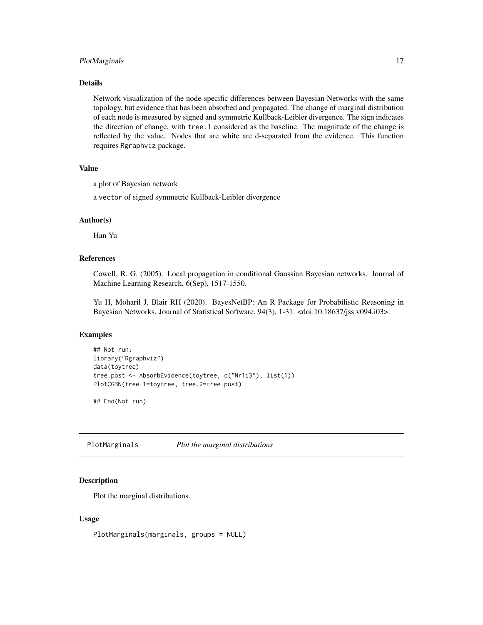# <span id="page-16-0"></span>PlotMarginals 17

#### Details

Network visualization of the node-specific differences between Bayesian Networks with the same topology, but evidence that has been absorbed and propagated. The change of marginal distribution of each node is measured by signed and symmetric Kullback-Leibler divergence. The sign indicates the direction of change, with tree.1 considered as the baseline. The magnitude of the change is reflected by the value. Nodes that are white are d-separated from the evidence. This function requires Rgraphviz package.

#### Value

a plot of Bayesian network

a vector of signed symmetric Kullback-Leibler divergence

## Author(s)

Han Yu

# References

Cowell, R. G. (2005). Local propagation in conditional Gaussian Bayesian networks. Journal of Machine Learning Research, 6(Sep), 1517-1550.

Yu H, Moharil J, Blair RH (2020). BayesNetBP: An R Package for Probabilistic Reasoning in Bayesian Networks. Journal of Statistical Software, 94(3), 1-31. <doi:10.18637/jss.v094.i03>.

#### Examples

```
## Not run:
library("Rgraphviz")
data(toytree)
tree.post <- AbsorbEvidence(toytree, c("Nr1i3"), list(1))
PlotCGBN(tree.1=toytree, tree.2=tree.post)
```
## End(Not run)

<span id="page-16-1"></span>PlotMarginals *Plot the marginal distributions*

#### Description

Plot the marginal distributions.

#### Usage

PlotMarginals(marginals, groups = NULL)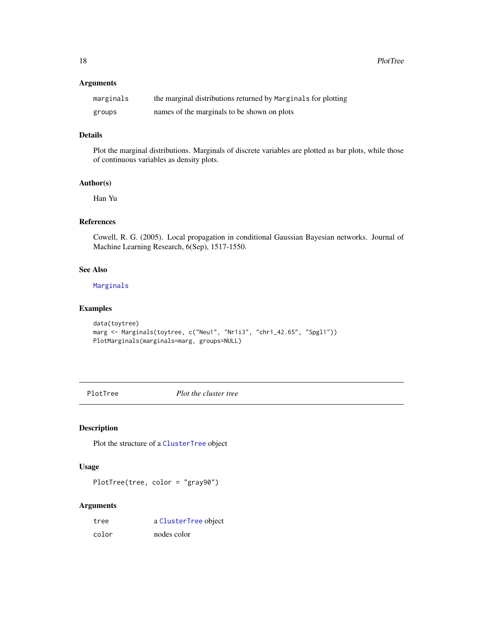<span id="page-17-0"></span>18 PlotTree

#### Arguments

| marginals | the marginal distributions returned by Marginals for plotting |
|-----------|---------------------------------------------------------------|
| groups    | names of the marginals to be shown on plots                   |

# Details

Plot the marginal distributions. Marginals of discrete variables are plotted as bar plots, while those of continuous variables as density plots.

# Author(s)

Han Yu

# References

Cowell, R. G. (2005). Local propagation in conditional Gaussian Bayesian networks. Journal of Machine Learning Research, 6(Sep), 1517-1550.

# See Also

#### [Marginals](#page-14-1)

# Examples

```
data(toytree)
marg <- Marginals(toytree, c("Neu1", "Nr1i3", "chr1_42.65", "Spgl1"))
PlotMarginals(marginals=marg, groups=NULL)
```
PlotTree *Plot the cluster tree*

# Description

Plot the structure of a [ClusterTree](#page-3-1) object

# Usage

PlotTree(tree, color = "gray90")

#### Arguments

| tree  | a ClusterTree object |
|-------|----------------------|
| color | nodes color          |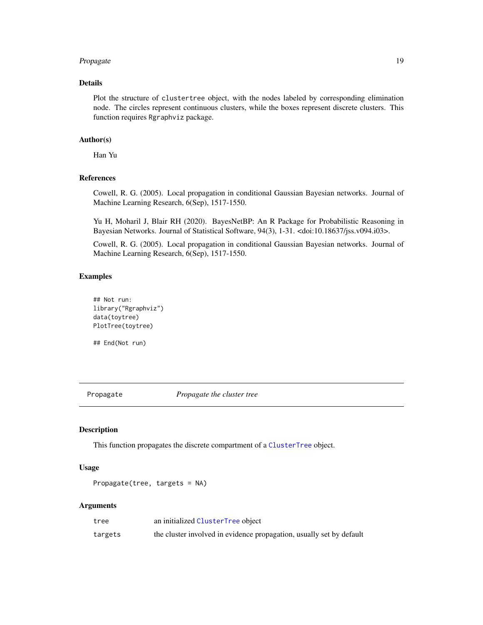#### <span id="page-18-0"></span>Propagate 2012 and 2012 and 2012 and 2012 and 2012 and 2012 and 2012 and 2012 and 2012 and 2012 and 2012 and 201

#### Details

Plot the structure of clustertree object, with the nodes labeled by corresponding elimination node. The circles represent continuous clusters, while the boxes represent discrete clusters. This function requires Rgraphviz package.

# Author(s)

Han Yu

# References

Cowell, R. G. (2005). Local propagation in conditional Gaussian Bayesian networks. Journal of Machine Learning Research, 6(Sep), 1517-1550.

Yu H, Moharil J, Blair RH (2020). BayesNetBP: An R Package for Probabilistic Reasoning in Bayesian Networks. Journal of Statistical Software, 94(3), 1-31. <doi:10.18637/jss.v094.i03>.

Cowell, R. G. (2005). Local propagation in conditional Gaussian Bayesian networks. Journal of Machine Learning Research, 6(Sep), 1517-1550.

#### Examples

```
## Not run:
library("Rgraphviz")
data(toytree)
PlotTree(toytree)
```
## End(Not run)

<span id="page-18-1"></span>Propagate *Propagate the cluster tree*

# Description

This function propagates the discrete compartment of a [ClusterTree](#page-3-1) object.

# Usage

```
Propagate(tree, targets = NA)
```
#### Arguments

| tree    | an initialized ClusterTree object                                    |
|---------|----------------------------------------------------------------------|
| targets | the cluster involved in evidence propagation, usually set by default |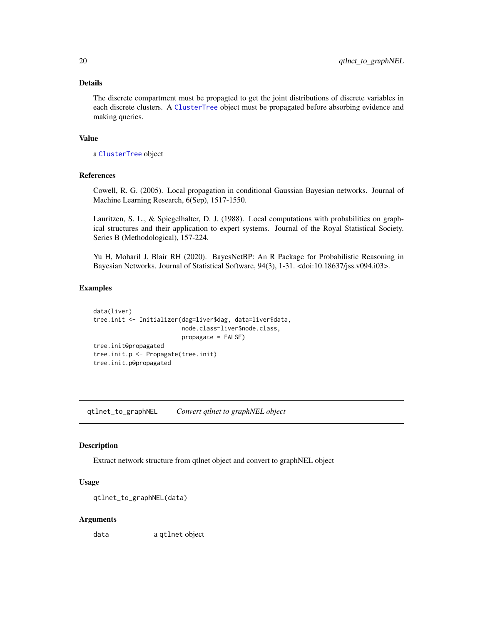#### <span id="page-19-0"></span>Details

The discrete compartment must be propagted to get the joint distributions of discrete variables in each discrete clusters. A [ClusterTree](#page-3-1) object must be propagated before absorbing evidence and making queries.

# Value

a [ClusterTree](#page-3-1) object

# References

Cowell, R. G. (2005). Local propagation in conditional Gaussian Bayesian networks. Journal of Machine Learning Research, 6(Sep), 1517-1550.

Lauritzen, S. L., & Spiegelhalter, D. J. (1988). Local computations with probabilities on graphical structures and their application to expert systems. Journal of the Royal Statistical Society. Series B (Methodological), 157-224.

Yu H, Moharil J, Blair RH (2020). BayesNetBP: An R Package for Probabilistic Reasoning in Bayesian Networks. Journal of Statistical Software, 94(3), 1-31. <doi:10.18637/jss.v094.i03>.

#### Examples

```
data(liver)
tree.init <- Initializer(dag=liver$dag, data=liver$data,
                         node.class=liver$node.class,
                         propagate = FALSE)
tree.init@propagated
tree.init.p <- Propagate(tree.init)
tree.init.p@propagated
```
qtlnet\_to\_graphNEL *Convert qtlnet to graphNEL object*

#### Description

Extract network structure from qtlnet object and convert to graphNEL object

#### Usage

```
qtlnet_to_graphNEL(data)
```
#### Arguments

data a qtlnet object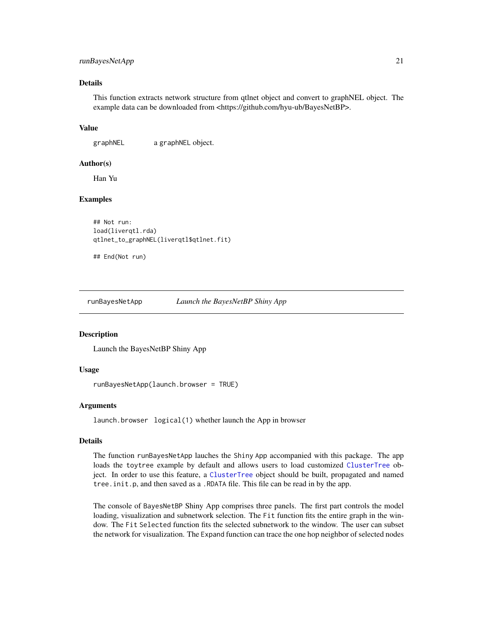#### <span id="page-20-0"></span>runBayesNetApp 21

# Details

This function extracts network structure from qtlnet object and convert to graphNEL object. The example data can be downloaded from <https://github.com/hyu-ub/BayesNetBP>.

#### Value

graphNEL a graphNEL object.

#### Author(s)

Han Yu

#### Examples

```
## Not run:
load(liverqtl.rda)
qtlnet_to_graphNEL(liverqtl$qtlnet.fit)
```

```
## End(Not run)
```
runBayesNetApp *Launch the BayesNetBP Shiny App*

#### **Description**

Launch the BayesNetBP Shiny App

#### Usage

```
runBayesNetApp(launch.browser = TRUE)
```
#### Arguments

launch.browser logical(1) whether launch the App in browser

#### Details

The function runBayesNetApp lauches the Shiny App accompanied with this package. The app loads the toytree example by default and allows users to load customized [ClusterTree](#page-3-1) object. In order to use this feature, a [ClusterTree](#page-3-1) object should be built, propagated and named tree.init.p, and then saved as a .RDATA file. This file can be read in by the app.

The console of BayesNetBP Shiny App comprises three panels. The first part controls the model loading, visualization and subnetwork selection. The Fit function fits the entire graph in the window. The Fit Selected function fits the selected subnetwork to the window. The user can subset the network for visualization. The Expand function can trace the one hop neighbor of selected nodes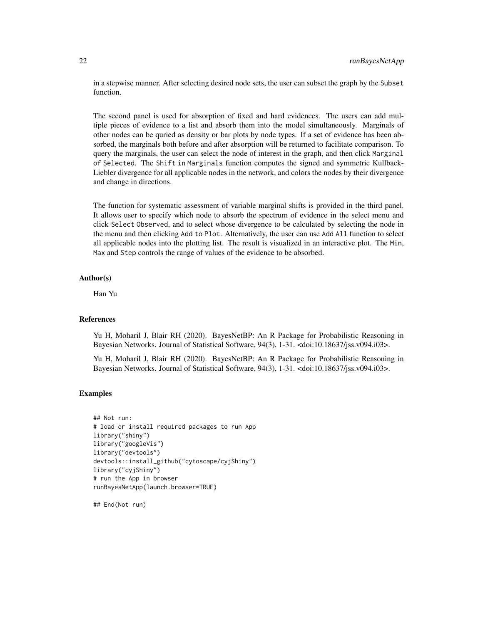in a stepwise manner. After selecting desired node sets, the user can subset the graph by the Subset function.

The second panel is used for absorption of fixed and hard evidences. The users can add multiple pieces of evidence to a list and absorb them into the model simultaneously. Marginals of other nodes can be quried as density or bar plots by node types. If a set of evidence has been absorbed, the marginals both before and after absorption will be returned to facilitate comparison. To query the marginals, the user can select the node of interest in the graph, and then click Marginal of Selected. The Shift in Marginals function computes the signed and symmetric Kullback-Liebler divergence for all applicable nodes in the network, and colors the nodes by their divergence and change in directions.

The function for systematic assessment of variable marginal shifts is provided in the third panel. It allows user to specify which node to absorb the spectrum of evidence in the select menu and click Select Observed, and to select whose divergence to be calculated by selecting the node in the menu and then clicking Add to Plot. Alternatively, the user can use Add All function to select all applicable nodes into the plotting list. The result is visualized in an interactive plot. The Min, Max and Step controls the range of values of the evidence to be absorbed.

# Author(s)

Han Yu

#### References

Yu H, Moharil J, Blair RH (2020). BayesNetBP: An R Package for Probabilistic Reasoning in Bayesian Networks. Journal of Statistical Software, 94(3), 1-31. <doi:10.18637/jss.v094.i03>.

Yu H, Moharil J, Blair RH (2020). BayesNetBP: An R Package for Probabilistic Reasoning in Bayesian Networks. Journal of Statistical Software, 94(3), 1-31. <doi:10.18637/jss.v094.i03>.

#### Examples

```
## Not run:
# load or install required packages to run App
library("shiny")
library("googleVis")
library("devtools")
devtools::install_github("cytoscape/cyjShiny")
library("cyjShiny")
# run the App in browser
runBayesNetApp(launch.browser=TRUE)
```
## End(Not run)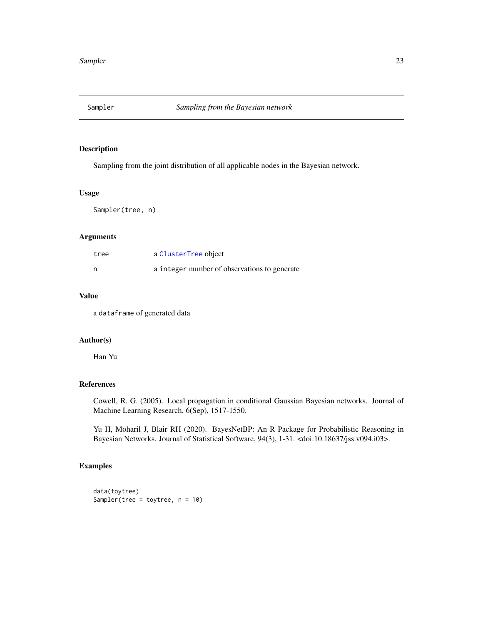<span id="page-22-0"></span>

### Description

Sampling from the joint distribution of all applicable nodes in the Bayesian network.

# Usage

Sampler(tree, n)

#### Arguments

| tree | a ClusterTree object                         |
|------|----------------------------------------------|
| n    | a integer number of observations to generate |

# Value

a dataframe of generated data

# Author(s)

Han Yu

# References

Cowell, R. G. (2005). Local propagation in conditional Gaussian Bayesian networks. Journal of Machine Learning Research, 6(Sep), 1517-1550.

Yu H, Moharil J, Blair RH (2020). BayesNetBP: An R Package for Probabilistic Reasoning in Bayesian Networks. Journal of Statistical Software, 94(3), 1-31. <doi:10.18637/jss.v094.i03>.

# Examples

```
data(toytree)
Sampler(tree = toytree, n = 10)
```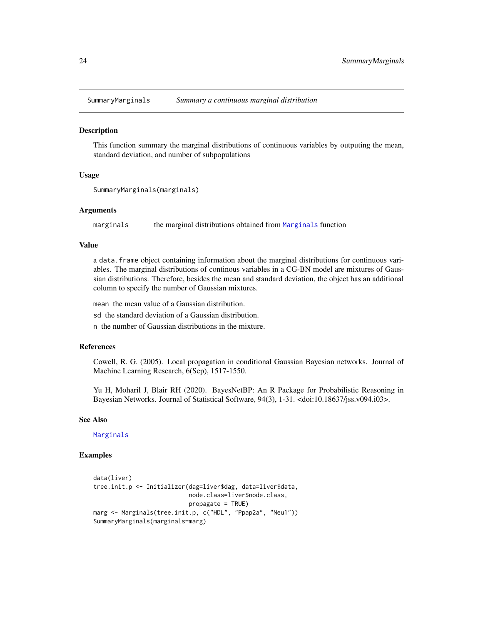<span id="page-23-1"></span><span id="page-23-0"></span>

#### Description

This function summary the marginal distributions of continuous variables by outputing the mean, standard deviation, and number of subpopulations

#### Usage

```
SummaryMarginals(marginals)
```
#### Arguments

marginals the marginal distributions obtained from [Marginals](#page-14-1) function

#### Value

a data.frame object containing information about the marginal distributions for continuous variables. The marginal distributions of continous variables in a CG-BN model are mixtures of Gaussian distributions. Therefore, besides the mean and standard deviation, the object has an additional column to specify the number of Gaussian mixtures.

mean the mean value of a Gaussian distribution.

sd the standard deviation of a Gaussian distribution.

n the number of Gaussian distributions in the mixture.

#### References

Cowell, R. G. (2005). Local propagation in conditional Gaussian Bayesian networks. Journal of Machine Learning Research, 6(Sep), 1517-1550.

Yu H, Moharil J, Blair RH (2020). BayesNetBP: An R Package for Probabilistic Reasoning in Bayesian Networks. Journal of Statistical Software, 94(3), 1-31. <doi:10.18637/jss.v094.i03>.

#### See Also

[Marginals](#page-14-1)

# Examples

```
data(liver)
tree.init.p <- Initializer(dag=liver$dag, data=liver$data,
                           node.class=liver$node.class,
                           propagate = TRUE)
marg <- Marginals(tree.init.p, c("HDL", "Ppap2a", "Neu1"))
SummaryMarginals(marginals=marg)
```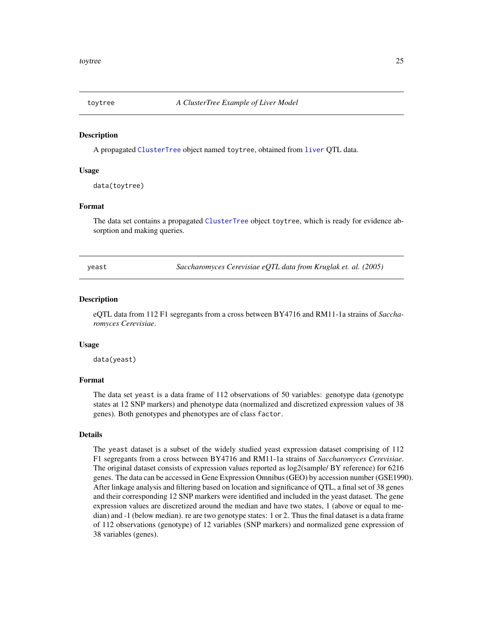<span id="page-24-0"></span>

#### Description

A propagated [ClusterTree](#page-3-1) object named toytree, obtained from [liver](#page-12-1) QTL data.

#### Usage

data(toytree)

#### Format

The data set contains a propagated [ClusterTree](#page-3-1) object toytree, which is ready for evidence absorption and making queries.

yeast *Saccharomyces Cerevisiae eQTL data from Kruglak et. al. (2005)*

#### Description

eQTL data from 112 F1 segregants from a cross between BY4716 and RM11-1a strains of *Saccharomyces Cerevisiae*.

#### Usage

data(yeast)

#### Format

The data set yeast is a data frame of 112 observations of 50 variables: genotype data (genotype states at 12 SNP markers) and phenotype data (normalized and discretized expression values of 38 genes). Both genotypes and phenotypes are of class factor.

#### Details

The yeast dataset is a subset of the widely studied yeast expression dataset comprising of 112 F1 segregants from a cross between BY4716 and RM11-1a strains of *Saccharomyces Cerevisiae*. The original dataset consists of expression values reported as log2(sample/ BY reference) for 6216 genes. The data can be accessed in Gene Expression Omnibus (GEO) by accession number (GSE1990). After linkage analysis and filtering based on location and significance of QTL, a final set of 38 genes and their corresponding 12 SNP markers were identified and included in the yeast dataset. The gene expression values are discretized around the median and have two states, 1 (above or equal to median) and -1 (below median). re are two genotype states: 1 or 2. Thus the final dataset is a data frame of 112 observations (genotype) of 12 variables (SNP markers) and normalized gene expression of 38 variables (genes).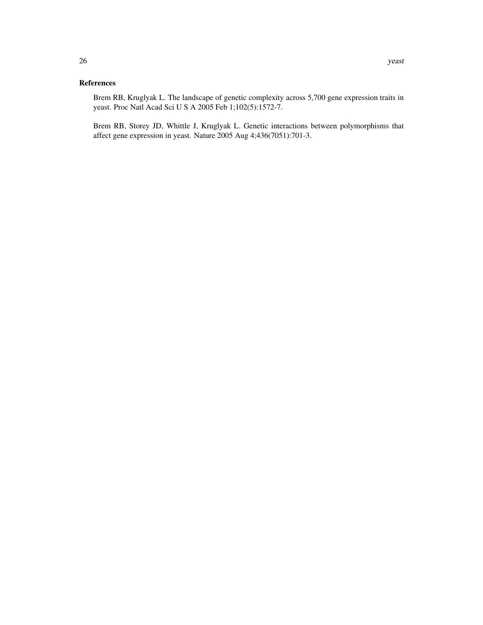# References

Brem RB, Kruglyak L. The landscape of genetic complexity across 5,700 gene expression traits in yeast. Proc Natl Acad Sci U S A 2005 Feb 1;102(5):1572-7.

Brem RB, Storey JD, Whittle J, Kruglyak L. Genetic interactions between polymorphisms that affect gene expression in yeast. Nature 2005 Aug 4;436(7051):701-3.